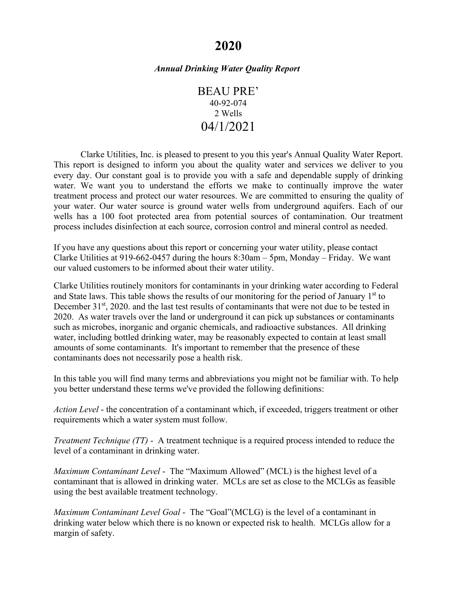# **2020**

## *Annual Drinking Water Quality Report*

BEAU PRE' 40-92-074 2 Wells 04/1/2021

Clarke Utilities, Inc. is pleased to present to you this year's Annual Quality Water Report. This report is designed to inform you about the quality water and services we deliver to you every day. Our constant goal is to provide you with a safe and dependable supply of drinking water. We want you to understand the efforts we make to continually improve the water treatment process and protect our water resources. We are committed to ensuring the quality of your water. Our water source is ground water wells from underground aquifers. Each of our wells has a 100 foot protected area from potential sources of contamination. Our treatment process includes disinfection at each source, corrosion control and mineral control as needed.

If you have any questions about this report or concerning your water utility, please contact Clarke Utilities at 919-662-0457 during the hours 8:30am – 5pm, Monday – Friday. We want our valued customers to be informed about their water utility.

Clarke Utilities routinely monitors for contaminants in your drinking water according to Federal and State laws. This table shows the results of our monitoring for the period of January  $1<sup>st</sup>$  to December 31<sup>st</sup>, 2020. and the last test results of contaminants that were not due to be tested in 2020.As water travels over the land or underground it can pick up substances or contaminants such as microbes, inorganic and organic chemicals, and radioactive substances. All drinking water, including bottled drinking water, may be reasonably expected to contain at least small amounts of some contaminants. It's important to remember that the presence of these contaminants does not necessarily pose a health risk.

In this table you will find many terms and abbreviations you might not be familiar with. To help you better understand these terms we've provided the following definitions:

*Action Level* - the concentration of a contaminant which, if exceeded, triggers treatment or other requirements which a water system must follow.

*Treatment Technique (TT)* - A treatment technique is a required process intended to reduce the level of a contaminant in drinking water.

*Maximum Contaminant Level* - The "Maximum Allowed" (MCL) is the highest level of a contaminant that is allowed in drinking water. MCLs are set as close to the MCLGs as feasible using the best available treatment technology.

*Maximum Contaminant Level Goal* - The "Goal"(MCLG) is the level of a contaminant in drinking water below which there is no known or expected risk to health. MCLGs allow for a margin of safety.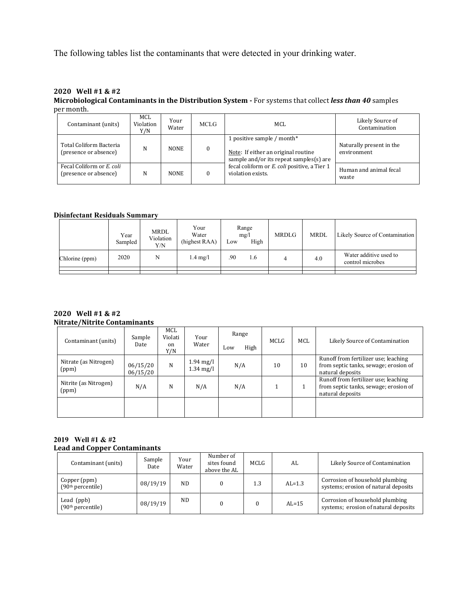The following tables list the contaminants that were detected in your drinking water.

#### **2020 Well #1 & #2 Microbiological Contaminants in the Distribution System -** For systems that collect *less than 40* samples per month.

| Contaminant (units)                                | MCL<br>Violation<br>Y/N | Your<br>Water | MCLG     | MCL                                                                                                          | Likely Source of<br>Contamination       |
|----------------------------------------------------|-------------------------|---------------|----------|--------------------------------------------------------------------------------------------------------------|-----------------------------------------|
| Total Coliform Bacteria<br>(presence or absence)   | N                       | <b>NONE</b>   | $\theta$ | 1 positive sample / month*<br>Note: If either an original routine<br>sample and/or its repeat samples(s) are | Naturally present in the<br>environment |
| Fecal Coliform or E. coli<br>(presence or absence) | N                       | <b>NONE</b>   |          | fecal coliform or E. coli positive, a Tier 1<br>violation exists.                                            | Human and animal fecal<br>waste         |

## **Disinfectant Residuals Summary**

|                | Year<br>Sampled | <b>MRDL</b><br>Violation<br>Y/N | Your<br>Water<br>(highest RAA) | Low | Range<br>mg/l<br>High | <b>MRDLG</b> | <b>MRDL</b> | Likely Source of Contamination             |
|----------------|-----------------|---------------------------------|--------------------------------|-----|-----------------------|--------------|-------------|--------------------------------------------|
| Chlorine (ppm) | 2020            | N                               | $1.4 \text{ mg/l}$             | .90 | 1.6                   |              | 4.0         | Water additive used to<br>control microbes |
|                |                 |                                 |                                |     |                       |              |             |                                            |

#### **2020 Well #1 & #2 Nitrate/Nitrite Contaminants**

| Contaminant (units)            | Sample<br>Date       | MCL<br>Violati<br><sub>on</sub><br>Y/N | Your<br>Water                              | Range<br>High<br>Low | MCLG | MCL | Likely Source of Contamination                                                                    |
|--------------------------------|----------------------|----------------------------------------|--------------------------------------------|----------------------|------|-----|---------------------------------------------------------------------------------------------------|
| Nitrate (as Nitrogen)<br>(ppm) | 06/15/20<br>06/15/20 | N                                      | $1.94 \text{ mg/l}$<br>$1.34 \text{ mg/l}$ | N/A                  | 10   | 10  | Runoff from fertilizer use; leaching<br>from septic tanks, sewage; erosion of<br>natural deposits |
| Nitrite (as Nitrogen)<br>(ppm) | N/A                  | N                                      | N/A                                        | N/A                  |      |     | Runoff from fertilizer use; leaching<br>from septic tanks, sewage; erosion of<br>natural deposits |
|                                |                      |                                        |                                            |                      |      |     |                                                                                                   |

#### **2019 Well #1 & #2 Lead and Copper Contaminants**

| Contaminant (units)                           | Sample<br>Date | Your<br>Water | Number of<br>sites found<br>above the AL | MCLG | AL       | Likely Source of Contamination                                          |
|-----------------------------------------------|----------------|---------------|------------------------------------------|------|----------|-------------------------------------------------------------------------|
| Copper (ppm)<br>(90 <sup>th</sup> percentile) | 08/19/19       | <b>ND</b>     |                                          | 1.3  | $AL=1.3$ | Corrosion of household plumbing<br>systems; erosion of natural deposits |
| Lead $(ppb)$<br>(90 <sup>th</sup> percentile) | 08/19/19       | ND            |                                          |      | $AL=15$  | Corrosion of household plumbing<br>systems; erosion of natural deposits |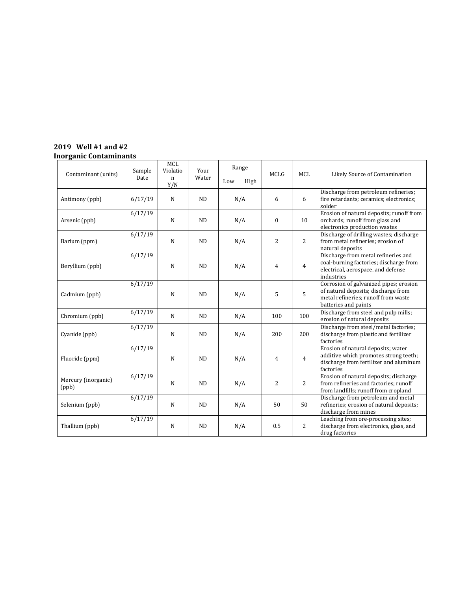## **2019 Well #1 and #2 Inorganic Contaminants**

| Contaminant (units)          | Sample  | <b>MCL</b><br>Violatio | Your      | Range       | <b>MCLG</b>  | <b>MCL</b>     | Likely Source of Contamination                                                                                                               |
|------------------------------|---------|------------------------|-----------|-------------|--------------|----------------|----------------------------------------------------------------------------------------------------------------------------------------------|
|                              | Date    | $\mathbf{n}$<br>Y/N    | Water     | Low<br>High |              |                |                                                                                                                                              |
| Antimony (ppb)               | 6/17/19 | $\mathbf N$            | ND        | N/A         | 6            | 6              | Discharge from petroleum refineries;<br>fire retardants; ceramics; electronics;<br>solder                                                    |
| Arsenic (ppb)                | 6/17/19 | $\mathbf N$            | <b>ND</b> | N/A         | $\mathbf{0}$ | 10             | Erosion of natural deposits; runoff from<br>orchards; runoff from glass and<br>electronics production wastes                                 |
| Barium (ppm)                 | 6/17/19 | $\mathbf N$            | <b>ND</b> | N/A         | 2            | 2              | Discharge of drilling wastes; discharge<br>from metal refineries; erosion of<br>natural deposits                                             |
| Beryllium (ppb)              | 6/17/19 | $\mathbf N$            | <b>ND</b> | N/A         | 4            | $\overline{4}$ | Discharge from metal refineries and<br>coal-burning factories; discharge from<br>electrical, aerospace, and defense<br>industries            |
| Cadmium (ppb)                | 6/17/19 | N                      | <b>ND</b> | N/A         | 5            | 5              | Corrosion of galvanized pipes; erosion<br>of natural deposits; discharge from<br>metal refineries; runoff from waste<br>batteries and paints |
| Chromium (ppb)               | 6/17/19 | $\mathbf N$            | <b>ND</b> | N/A         | 100          | 100            | Discharge from steel and pulp mills;<br>erosion of natural deposits                                                                          |
| Cyanide (ppb)                | 6/17/19 | $\mathbf N$            | <b>ND</b> | N/A         | 200          | 200            | Discharge from steel/metal factories;<br>discharge from plastic and fertilizer<br>factories                                                  |
| Fluoride (ppm)               | 6/17/19 | $\mathbf N$            | <b>ND</b> | N/A         | 4            | $\overline{4}$ | Erosion of natural deposits; water<br>additive which promotes strong teeth;<br>discharge from fertilizer and aluminum<br>factories           |
| Mercury (inorganic)<br>(ppb) | 6/17/19 | $\mathbf N$            | <b>ND</b> | N/A         | 2            | 2              | Erosion of natural deposits; discharge<br>from refineries and factories; runoff<br>from landfills; runoff from cropland                      |
| Selenium (ppb)               | 6/17/19 | $\mathbf N$            | <b>ND</b> | N/A         | 50           | 50             | Discharge from petroleum and metal<br>refineries; erosion of natural deposits;<br>discharge from mines                                       |
| Thallium (ppb)               | 6/17/19 | ${\bf N}$              | <b>ND</b> | N/A         | 0.5          | 2              | Leaching from ore-processing sites;<br>discharge from electronics, glass, and<br>drug factories                                              |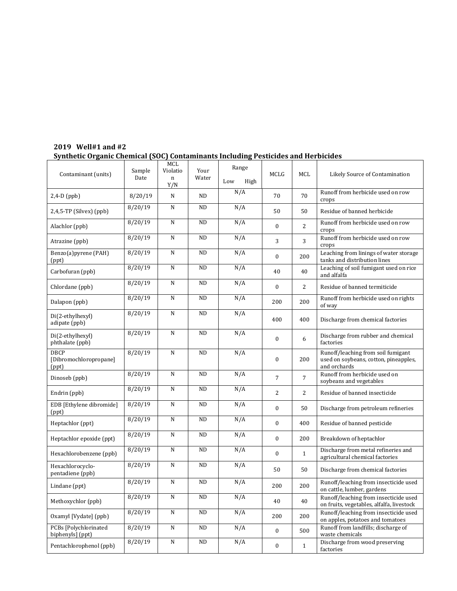| Contaminant (units)                            | Sample<br>Date     | MCL<br>Violatio<br>n<br>Y/N | Your<br>Water   | Range<br>Low<br>High | MCLG             | MCL            | Likely Source of Contamination                                                              |
|------------------------------------------------|--------------------|-----------------------------|-----------------|----------------------|------------------|----------------|---------------------------------------------------------------------------------------------|
| $2,4-D$ (ppb)                                  | 8/20/19            | N                           | <b>ND</b>       | N/A                  | 70               | 70             | Runoff from herbicide used on row<br>crops                                                  |
| 2,4,5-TP (Silvex) (ppb)                        | 8/20/19            | N                           | <b>ND</b>       | N/A                  | 50               | 50             | Residue of banned herbicide                                                                 |
| Alachlor (ppb)                                 | 8/20/19            | ${\bf N}$                   | <b>ND</b>       | N/A                  | $\mathbf{0}$     | 2              | Runoff from herbicide used on row<br>crops                                                  |
| Atrazine (ppb)                                 | 8/20/19            | ${\bf N}$                   | <b>ND</b>       | N/A                  | 3                | 3              | Runoff from herbicide used on row<br>crops                                                  |
| Benzo(a)pyrene (PAH)<br>(ppt)                  | 8/20/19            | ${\bf N}$                   | <b>ND</b>       | N/A                  | $\mathbf{0}$     | 200            | Leaching from linings of water storage<br>tanks and distribution lines                      |
| Carbofuran (ppb)                               | 8/20/19            | N                           | <b>ND</b>       | N/A                  | 40               | 40             | Leaching of soil fumigant used on rice<br>and alfalfa                                       |
| Chlordane (ppb)                                | 8/20/19            | N                           | <b>ND</b>       | N/A                  | $\mathbf{0}$     | 2              | Residue of banned termiticide                                                               |
| Dalapon (ppb)                                  | 8/20/19            | $\mathbf N$                 | <b>ND</b>       | N/A                  | 200              | 200            | Runoff from herbicide used on rights<br>of way                                              |
| Di(2-ethylhexyl)<br>adipate (ppb)              | 8/20/19            | $\mathbf N$                 | ND              | N/A                  | 400              | 400            | Discharge from chemical factories                                                           |
| Di(2-ethylhexyl)<br>phthalate (ppb)            | 8/20/19            | ${\bf N}$                   | <b>ND</b>       | N/A                  | $\mathbf{0}$     | 6              | Discharge from rubber and chemical<br>factories                                             |
| <b>DBCP</b><br>[Dibromochloropropane]<br>(ppt) | 8/20/19            | $\mathbf N$                 | <b>ND</b>       | N/A                  | $\mathbf{0}$     | 200            | Runoff/leaching from soil fumigant<br>used on soybeans, cotton, pineapples,<br>and orchards |
| Dinoseb (ppb)                                  | 8/20/19            | $\mathbf N$                 | <b>ND</b>       | N/A                  | 7                | $\overline{7}$ | Runoff from herbicide used on<br>soybeans and vegetables                                    |
| Endrin (ppb)                                   | $\frac{8}{20}$ /19 | N                           | <b>ND</b>       | N/A                  | $\overline{2}$   | 2              | Residue of banned insecticide                                                               |
| EDB [Ethylene dibromide]<br>(ppt)              | 8/20/19            | N                           | <b>ND</b>       | N/A                  | $\boldsymbol{0}$ | 50             | Discharge from petroleum refineries                                                         |
| Heptachlor (ppt)                               | 8/20/19            | ${\bf N}$                   | <b>ND</b>       | N/A                  | $\mathbf{0}$     | 400            | Residue of banned pesticide                                                                 |
| Heptachlor epoxide (ppt)                       | 8/20/19            | ${\bf N}$                   | <b>ND</b>       | N/A                  | $\boldsymbol{0}$ | 200            | Breakdown of heptachlor                                                                     |
| Hexachlorobenzene (ppb)                        | 8/20/19            | $\mathbf N$                 | <b>ND</b>       | N/A                  | $\mathbf{0}$     | $\mathbf{1}$   | Discharge from metal refineries and<br>agricultural chemical factories                      |
| Hexachlorocyclo-<br>pentadiene (ppb)           | 8/20/19            | N                           | <b>ND</b>       | N/A                  | 50               | 50             | Discharge from chemical factories                                                           |
| Lindane (ppt)                                  | 8/20/19            | N                           | <b>ND</b>       | N/A                  | 200              | 200            | Runoff/leaching from insecticide used<br>on cattle, lumber, gardens                         |
| Methoxychlor (ppb)                             | 8/20/19            | ${\bf N}$                   | $\overline{ND}$ | N/A                  | $40\,$           | 40             | Runoff/leaching from insecticide used<br>on fruits, vegetables, alfalfa, livestock          |
| Oxamyl [Vydate] (ppb)                          | 8/20/19            | ${\bf N}$                   | $\rm ND$        | N/A                  | 200              | 200            | Runoff/leaching from insecticide used<br>on apples, potatoes and tomatoes                   |
| PCBs [Polychlorinated]<br>biphenyls] (ppt)     | 8/20/19            | ${\bf N}$                   | ND              | N/A                  | $\boldsymbol{0}$ | 500            | Runoff from landfills; discharge of<br>waste chemicals                                      |
| Pentachlorophenol (ppb)                        | 8/20/19            | ${\bf N}$                   | ND              | N/A                  | $\boldsymbol{0}$ | $\mathbf{1}$   | Discharge from wood preserving<br>factories                                                 |

# **2019 Well#1 and #2 Synthetic Organic Chemical (SOC) Contaminants Including Pesticides and Herbicides**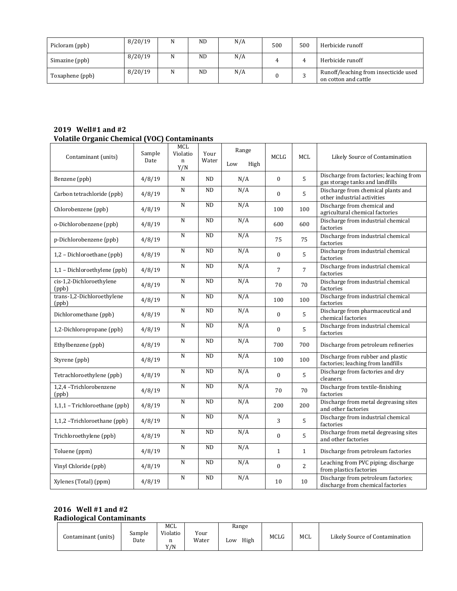| Picloram (ppb)  | 8/20/19 | N | <b>ND</b> | N/A | 500 | 500 | Herbicide runoff                                              |
|-----------------|---------|---|-----------|-----|-----|-----|---------------------------------------------------------------|
| Simazine (ppb)  | 8/20/19 | N | <b>ND</b> | N/A |     |     | Herbicide runoff                                              |
| Toxaphene (ppb) | 8/20/19 | N | <b>ND</b> | N/A |     |     | Runoff/leaching from insecticide used<br>on cotton and cattle |

## **2019 Well#1 and #2 Volatile Organic Chemical (VOC) Contaminants**

| Contaminant (units)                 | Sample<br>Date | MCL<br>Violatio<br>$\mathbf n$<br>Y/N | Your<br>Water | Range<br>High<br>Low | MCLG             | MCL            | Likely Source of Contamination                                             |
|-------------------------------------|----------------|---------------------------------------|---------------|----------------------|------------------|----------------|----------------------------------------------------------------------------|
| Benzene (ppb)                       | 4/8/19         | N                                     | <b>ND</b>     | N/A                  | $\theta$         | 5              | Discharge from factories; leaching from<br>gas storage tanks and landfills |
| Carbon tetrachloride (ppb)          | 4/8/19         | N                                     | <b>ND</b>     | N/A                  | $\theta$         | 5              | Discharge from chemical plants and<br>other industrial activities          |
| Chlorobenzene (ppb)                 | 4/8/19         | N                                     | <b>ND</b>     | N/A                  | 100              | 100            | Discharge from chemical and<br>agricultural chemical factories             |
| o-Dichlorobenzene (ppb)             | 4/8/19         | N                                     | <b>ND</b>     | N/A                  | 600              | 600            | Discharge from industrial chemical<br>factories                            |
| p-Dichlorobenzene (ppb)             | 4/8/19         | N                                     | <b>ND</b>     | N/A                  | 75               | 75             | Discharge from industrial chemical<br>factories                            |
| 1,2 - Dichloroethane (ppb)          | 4/8/19         | N                                     | <b>ND</b>     | N/A                  | $\boldsymbol{0}$ | 5              | Discharge from industrial chemical<br>factories                            |
| 1,1 - Dichloroethylene (ppb)        | 4/8/19         | N                                     | <b>ND</b>     | N/A                  | $\overline{7}$   | $\overline{7}$ | Discharge from industrial chemical<br>factories                            |
| cis-1,2-Dichloroethylene<br>(ppb)   | 4/8/19         | N                                     | <b>ND</b>     | N/A                  | 70               | 70             | Discharge from industrial chemical<br>factories                            |
| trans-1,2-Dichloroethylene<br>(ppb) | 4/8/19         | ${\bf N}$                             | <b>ND</b>     | N/A                  | 100              | 100            | Discharge from industrial chemical<br>factories                            |
| Dichloromethane (ppb)               | 4/8/19         | N                                     | <b>ND</b>     | N/A                  | $\mathbf{0}$     | 5              | Discharge from pharmaceutical and<br>chemical factories                    |
| 1,2-Dichloropropane (ppb)           | 4/8/19         | N                                     | <b>ND</b>     | N/A                  | $\mathbf{0}$     | 5              | Discharge from industrial chemical<br>factories                            |
| Ethylbenzene (ppb)                  | 4/8/19         | N                                     | <b>ND</b>     | N/A                  | 700              | 700            | Discharge from petroleum refineries                                        |
| Styrene (ppb)                       | 4/8/19         | N                                     | <b>ND</b>     | N/A                  | 100              | 100            | Discharge from rubber and plastic<br>factories; leaching from landfills    |
| Tetrachloroethylene (ppb)           | 4/8/19         | N                                     | <b>ND</b>     | N/A                  | $\mathbf{0}$     | 5              | Discharge from factories and dry<br>cleaners                               |
| 1,2,4 -Trichlorobenzene<br>(ppb)    | 4/8/19         | ${\bf N}$                             | <b>ND</b>     | N/A                  | 70               | 70             | Discharge from textile-finishing<br>factories                              |
| 1,1,1 - Trichloroethane (ppb)       | 4/8/19         | N                                     | <b>ND</b>     | N/A                  | 200              | 200            | Discharge from metal degreasing sites<br>and other factories               |
| 1,1,2 -Trichloroethane (ppb)        | 4/8/19         | N                                     | <b>ND</b>     | N/A                  | 3                | 5              | Discharge from industrial chemical<br>factories                            |
| Trichloroethylene (ppb)             | 4/8/19         | N                                     | ND            | N/A                  | $\boldsymbol{0}$ | 5              | Discharge from metal degreasing sites<br>and other factories               |
| Toluene (ppm)                       | 4/8/19         | N                                     | <b>ND</b>     | N/A                  | $\mathbf{1}$     | $\mathbf{1}$   | Discharge from petroleum factories                                         |
| Vinyl Chloride (ppb)                | 4/8/19         | N                                     | <b>ND</b>     | N/A                  | $\mathbf{0}$     | $\overline{2}$ | Leaching from PVC piping; discharge<br>from plastics factories             |
| Xylenes (Total) (ppm)               | 4/8/19         | N                                     | <b>ND</b>     | N/A                  | 10               | 10             | Discharge from petroleum factories;<br>discharge from chemical factories   |

## **2016 Well #1 and #2 Radiological Contaminants**

|                     |                | MCL                  |               | Range       |      |     |                                |
|---------------------|----------------|----------------------|---------------|-------------|------|-----|--------------------------------|
| Contaminant (units) | Sample<br>Date | Violatio<br>n<br>Y/N | Your<br>Water | High<br>L0W | MCLG | MCL | Likely Source of Contamination |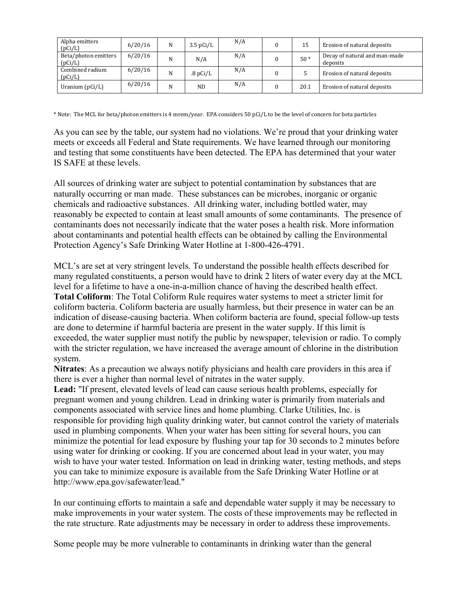| Alpha emitters<br>(pCi/L)       | 6/20/16 | N | $3.5 \text{ pCi/L}$ | N/A | 15    | Erosion of natural deposits               |
|---------------------------------|---------|---|---------------------|-----|-------|-------------------------------------------|
| Beta/photon emitters<br>(pCi/L) | 6/20/16 | N | N/A                 | N/A | $50*$ | Decay of natural and man-made<br>deposits |
| Combined radium<br>(pCi/L)      | 6/20/16 | N | .8pCi/L             | N/A |       | Erosion of natural deposits               |
| Uranium $(pCi/L)$               | 6/20/16 | N | N <sub>D</sub>      | N/A | 20.1  | Erosion of natural deposits               |

\* Note: The MCL for beta/photon emitters is 4 mrem/year. EPA considers 50 pCi/L to be the level of concern for beta particles

As you can see by the table, our system had no violations. We're proud that your drinking water meets or exceeds all Federal and State requirements. We have learned through our monitoring and testing that some constituents have been detected. The EPA has determined that your water IS SAFE at these levels.

All sources of drinking water are subject to potential contamination by substances that are naturally occurring or man made. These substances can be microbes, inorganic or organic chemicals and radioactive substances. All drinking water, including bottled water, may reasonably be expected to contain at least small amounts of some contaminants. The presence of contaminants does not necessarily indicate that the water poses a health risk. More information about contaminants and potential health effects can be obtained by calling the Environmental Protection Agency's Safe Drinking Water Hotline at 1-800-426-4791.

MCL's are set at very stringent levels. To understand the possible health effects described for many regulated constituents, a person would have to drink 2 liters of water every day at the MCL level for a lifetime to have a one-in-a-million chance of having the described health effect. **Total Coliform**: The Total Coliform Rule requires water systems to meet a stricter limit for coliform bacteria. Coliform bacteria are usually harmless, but their presence in water can be an indication of disease-causing bacteria. When coliform bacteria are found, special follow-up tests are done to determine if harmful bacteria are present in the water supply. If this limit is exceeded, the water supplier must notify the public by newspaper, television or radio. To comply with the stricter regulation, we have increased the average amount of chlorine in the distribution system.

**Nitrates**: As a precaution we always notify physicians and health care providers in this area if there is ever a higher than normal level of nitrates in the water supply.

**Lead:** "If present, elevated levels of lead can cause serious health problems, especially for pregnant women and young children. Lead in drinking water is primarily from materials and components associated with service lines and home plumbing. Clarke Utilities, Inc. is responsible for providing high quality drinking water, but cannot control the variety of materials used in plumbing components. When your water has been sitting for several hours, you can minimize the potential for lead exposure by flushing your tap for 30 seconds to 2 minutes before using water for drinking or cooking. If you are concerned about lead in your water, you may wish to have your water tested. Information on lead in drinking water, testing methods, and steps you can take to minimize exposure is available from the Safe Drinking Water Hotline or at http://www.epa.gov/safewater/lead."

In our continuing efforts to maintain a safe and dependable water supply it may be necessary to make improvements in your water system. The costs of these improvements may be reflected in the rate structure. Rate adjustments may be necessary in order to address these improvements.

Some people may be more vulnerable to contaminants in drinking water than the general